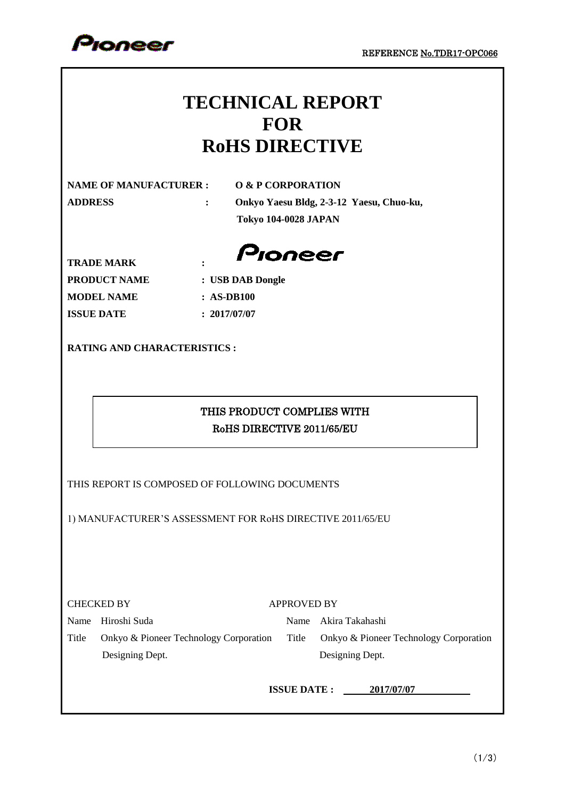

## **TECHNICAL REPORT FOR RoHS DIRECTIVE**

**NAME OF MANUFACTURER : O & P CORPORATION**

**ADDRESS : Onkyo Yaesu Bldg, 2-3-12 Yaesu, Chuo-ku, Tokyo 104-0028 JAPAN**

Pioneer

**TRADE MARK : PRODUCT NAME : USB DAB Dongle MODEL NAME : AS-DB100 ISSUE DATE : 2017/07/07**

**RATING AND CHARACTERISTICS :**

## THIS PRODUCT COMPLIES WITH RoHS DIRECTIVE 2011/65/EU

THIS REPORT IS COMPOSED OF FOLLOWING DOCUMENTS

1) MANUFACTURER'S ASSESSMENT FOR RoHS DIRECTIVE 2011/65/EU

APPROVED BY

Name Hiroshi Suda Name Akira Takahashi

Title Onkyo & Pioneer Technology Corporation Title Onkyo & Pioneer Technology Corporation Designing Dept. Designing Dept.

**ISSUE DATE : 2017/07/07**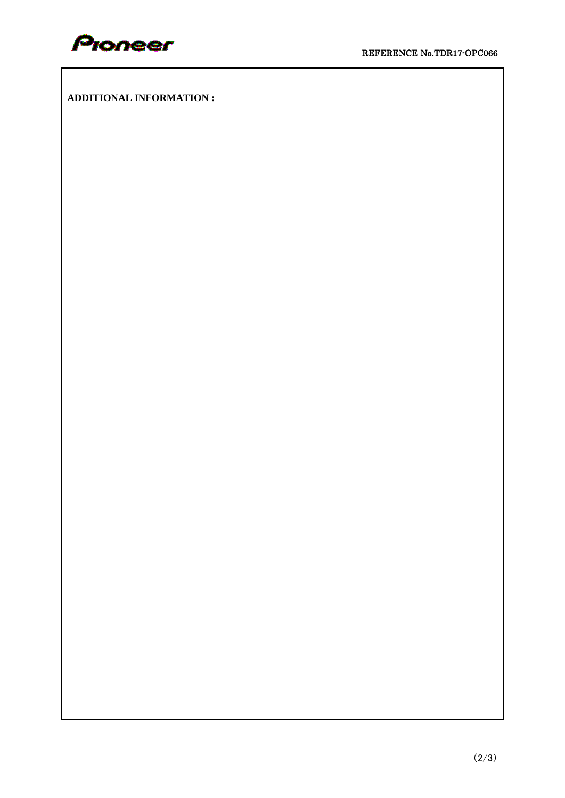

**ADDITIONAL INFORMATION :**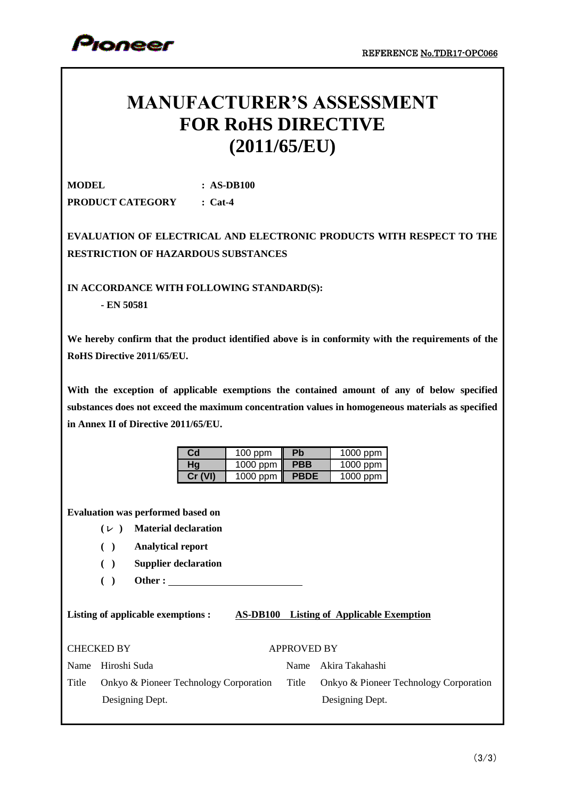

## **MANUFACTURER'S ASSESSMENT FOR RoHS DIRECTIVE (2011/65/EU)**

**MODEL : AS-DB100 PRODUCT CATEGORY : Cat-4**

**EVALUATION OF ELECTRICAL AND ELECTRONIC PRODUCTS WITH RESPECT TO THE RESTRICTION OF HAZARDOUS SUBSTANCES**

**IN ACCORDANCE WITH FOLLOWING STANDARD(S):**

**- EN 50581**

**We hereby confirm that the product identified above is in conformity with the requirements of the RoHS Directive 2011/65/EU.**

**With the exception of applicable exemptions the contained amount of any of below specified substances does not exceed the maximum concentration values in homogeneous materials as specified in Annex II of Directive 2011/65/EU.**

| Cd      | <b>Pb</b><br>$100$ ppm  |             | 1000 ppm   |  |
|---------|-------------------------|-------------|------------|--|
| Hq      | 1000 ppm $\blacksquare$ | <b>PBB</b>  | 1000 ppm   |  |
| Cr (VI) | 1000 ppm $\ $           | <b>PBDE</b> | $1000$ ppm |  |

**Evaluation was performed based on**

- **(**ㇾ **) Material declaration**
- **( ) Analytical report**
- **( ) Supplier declaration**
- **( ) Other :**

**Listing of applicable exemptions : AS-DB100 Listing of Applicable Exemption**

| <b>CHECKED BY</b> | <b>APPROVED BY</b> |
|-------------------|--------------------|
|                   |                    |

| <b>APPROVED BY</b> |  |
|--------------------|--|

Name Hiroshi Suda Title Onkyo & Pioneer Technology Corporation

Designing Dept.

| Name Akira Takahashi                         |
|----------------------------------------------|
| Title Onkyo & Pioneer Technology Corporation |
| Designing Dept.                              |